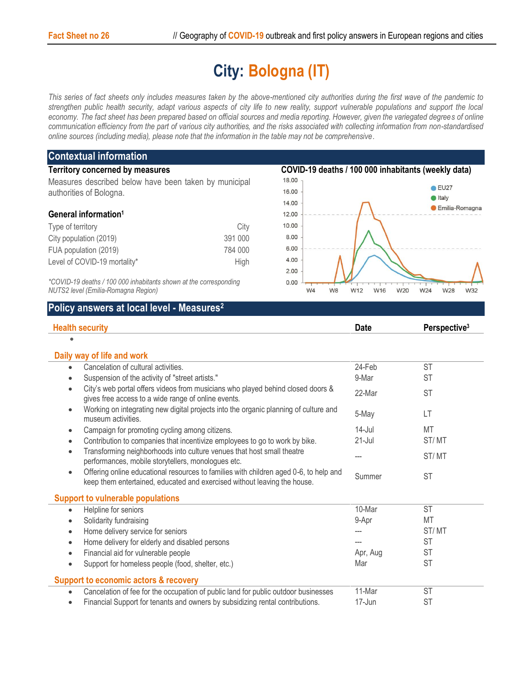## **City: Bologna (IT)**

*This series of fact sheets only includes measures taken by the above-mentioned city authorities during the first wave of the pandemic to strengthen public health security, adapt various aspects of city life to new reality, support vulnerable populations and support the local economy. The fact sheet has been prepared based on official sources and media reporting. However, given the variegated degrees of online communication efficiency from the part of various city authorities, and the risks associated with collecting information from non-standardised online sources (including media), please note that the information in the table may not be comprehensive*.

| <b>Contextual information</b>                                     |         |                                                     |                         |  |  |
|-------------------------------------------------------------------|---------|-----------------------------------------------------|-------------------------|--|--|
| <b>Territory concerned by measures</b>                            |         | COVID-19 deaths / 100 000 inhabitants (weekly data) |                         |  |  |
| Measures described below have been taken by municipal             |         | $18.00 -$                                           |                         |  |  |
| authorities of Bologna.                                           |         | 16.00                                               | $\bullet$ EU27          |  |  |
|                                                                   |         | 14.00                                               | ltaly<br>Emilia-Romagna |  |  |
| General information <sup>1</sup>                                  |         | 12.00                                               |                         |  |  |
| Type of territory                                                 | City    | 10.00                                               |                         |  |  |
| City population (2019)                                            | 391 000 | 8.00                                                |                         |  |  |
| FUA population (2019)                                             | 784 000 | 6.00                                                |                         |  |  |
| Level of COVID-19 mortality*                                      | High    | 4.00                                                |                         |  |  |
|                                                                   |         | 2.00                                                |                         |  |  |
| *COVID-19 deaths / 100 000 inhabitants shown at the corresponding |         | 0.00                                                |                         |  |  |

 $W<sup>4</sup>$ 

 $W8$ 

W<sub>16</sub>

W20

W24

W28

W32

W12

*NUTS2 level (Emilia-Romagna Region)*

## **Policy answers at local level - Measures<sup>2</sup>**

| <b>Health security</b>                                                                                                                                                         | <b>Date</b> | Perspective <sup>3</sup> |
|--------------------------------------------------------------------------------------------------------------------------------------------------------------------------------|-------------|--------------------------|
|                                                                                                                                                                                |             |                          |
| Daily way of life and work                                                                                                                                                     |             |                          |
| Cancelation of cultural activities.<br>$\bullet$                                                                                                                               | 24-Feb      | <b>ST</b>                |
| Suspension of the activity of "street artists."<br>$\bullet$                                                                                                                   | 9-Mar       | <b>ST</b>                |
| City's web portal offers videos from musicians who played behind closed doors &<br>$\bullet$<br>gives free access to a wide range of online events.                            | 22-Mar      | <b>ST</b>                |
| Working on integrating new digital projects into the organic planning of culture and<br>$\bullet$<br>museum activities.                                                        | 5-May       | LT                       |
| Campaign for promoting cycling among citizens.<br>$\bullet$                                                                                                                    | $14$ -Jul   | <b>MT</b>                |
| Contribution to companies that incentivize employees to go to work by bike.<br>$\bullet$                                                                                       | $21 -$ Jul  | ST/MT                    |
| Transforming neighborhoods into culture venues that host small theatre<br>$\bullet$<br>performances, mobile storytellers, monologues etc.                                      | ---         | ST/MT                    |
| Offering online educational resources to families with children aged 0-6, to help and<br>$\bullet$<br>keep them entertained, educated and exercised without leaving the house. | Summer      | <b>ST</b>                |
| <b>Support to vulnerable populations</b>                                                                                                                                       |             |                          |
| Helpline for seniors<br>$\bullet$                                                                                                                                              | 10-Mar      | <b>ST</b>                |
| Solidarity fundraising<br>$\bullet$                                                                                                                                            | 9-Apr       | <b>MT</b>                |
| Home delivery service for seniors<br>$\bullet$                                                                                                                                 |             | ST/MT                    |
| Home delivery for elderly and disabled persons<br>$\bullet$                                                                                                                    |             | <b>ST</b>                |
| Financial aid for vulnerable people<br>$\bullet$                                                                                                                               | Apr, Aug    | <b>ST</b>                |
| Support for homeless people (food, shelter, etc.)<br>$\bullet$                                                                                                                 | Mar         | <b>ST</b>                |
| <b>Support to economic actors &amp; recovery</b>                                                                                                                               |             |                          |
| Cancelation of fee for the occupation of public land for public outdoor businesses<br>$\bullet$                                                                                | 11-Mar      | <b>ST</b>                |
| Financial Support for tenants and owners by subsidizing rental contributions.<br>$\bullet$                                                                                     | 17-Jun      | <b>ST</b>                |